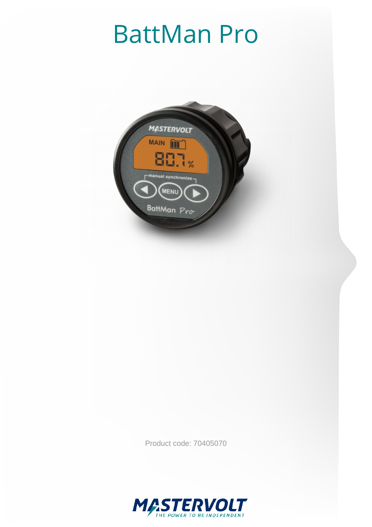## BattMan Pro



Product code: 70405070

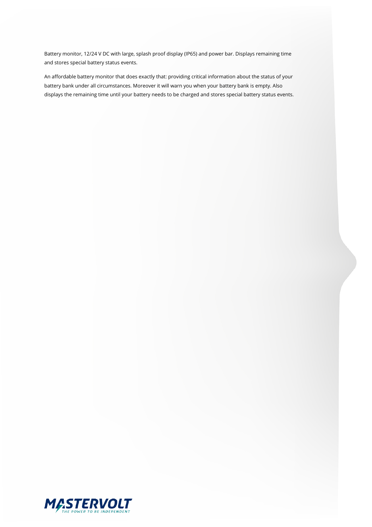Battery monitor, 12/24 V DC with large, splash proof display (IP65) and power bar. Displays remaining time and stores special battery status events.

An affordable battery monitor that does exactly that: providing critical information about the status of your battery bank under all circumstances. Moreover it will warn you when your battery bank is empty. Also displays the remaining time until your battery needs to be charged and stores special battery status events.